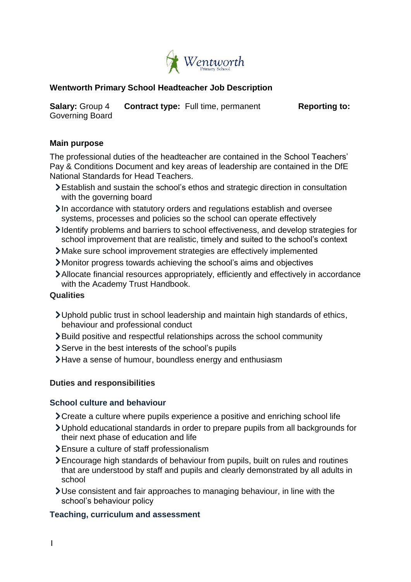

# **Wentworth Primary School Headteacher Job Description**

**Salary:** Group 4 **Contract type:** Full time, permanent **Reporting to:** Governing Board

## **Main purpose**

The professional duties of the headteacher are contained in the School Teachers' Pay & Conditions Document and key areas of leadership are contained in the DfE National Standards for Head Teachers.

- Establish and sustain the school's ethos and strategic direction in consultation with the governing board
- In accordance with statutory orders and regulations establish and oversee systems, processes and policies so the school can operate effectively
- Identify problems and barriers to school effectiveness, and develop strategies for school improvement that are realistic, timely and suited to the school's context
- Make sure school improvement strategies are effectively implemented
- Monitor progress towards achieving the school's aims and objectives
- Allocate financial resources appropriately, efficiently and effectively in accordance with the Academy Trust Handbook.

### **Qualities**

- Uphold public trust in school leadership and maintain high standards of ethics, behaviour and professional conduct
- Build positive and respectful relationships across the school community
- Serve in the best interests of the school's pupils
- Have a sense of humour, boundless energy and enthusiasm

#### **Duties and responsibilities**

### **School culture and behaviour**

- Create a culture where pupils experience a positive and enriching school life
- Uphold educational standards in order to prepare pupils from all backgrounds for their next phase of education and life
- Ensure a culture of staff professionalism
- Encourage high standards of behaviour from pupils, built on rules and routines that are understood by staff and pupils and clearly demonstrated by all adults in school
- Use consistent and fair approaches to managing behaviour, in line with the school's behaviour policy

### **Teaching, curriculum and assessment**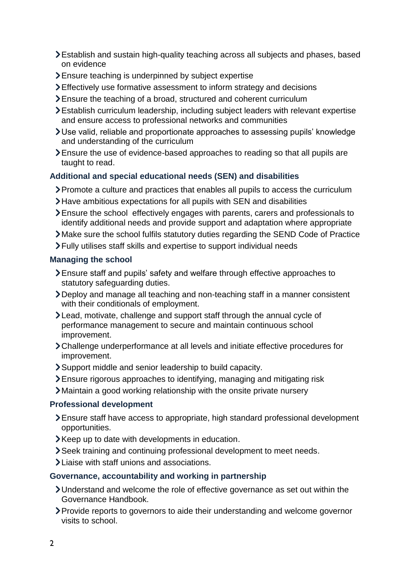- Establish and sustain high-quality teaching across all subjects and phases, based on evidence
- Ensure teaching is underpinned by subject expertise
- Effectively use formative assessment to inform strategy and decisions
- Ensure the teaching of a broad, structured and coherent curriculum
- Establish curriculum leadership, including subject leaders with relevant expertise and ensure access to professional networks and communities
- Use valid, reliable and proportionate approaches to assessing pupils' knowledge and understanding of the curriculum
- Ensure the use of evidence-based approaches to reading so that all pupils are taught to read.

# **Additional and special educational needs (SEN) and disabilities**

- Promote a culture and practices that enables all pupils to access the curriculum
- Have ambitious expectations for all pupils with SEN and disabilities
- Ensure the school effectively engages with parents, carers and professionals to identify additional needs and provide support and adaptation where appropriate
- Make sure the school fulfils statutory duties regarding the SEND Code of Practice
- Fully utilises staff skills and expertise to support individual needs

## **Managing the school**

- Ensure staff and pupils' safety and welfare through effective approaches to statutory safeguarding duties.
- Deploy and manage all teaching and non-teaching staff in a manner consistent with their conditionals of employment.
- Lead, motivate, challenge and support staff through the annual cycle of performance management to secure and maintain continuous school improvement.
- Challenge underperformance at all levels and initiate effective procedures for improvement.
- Support middle and senior leadership to build capacity.
- Ensure rigorous approaches to identifying, managing and mitigating risk
- Maintain a good working relationship with the onsite private nursery

## **Professional development**

- Ensure staff have access to appropriate, high standard professional development opportunities.
- Keep up to date with developments in education.
- Seek training and continuing professional development to meet needs.
- Liaise with staff unions and associations.

## **Governance, accountability and working in partnership**

- Understand and welcome the role of effective governance as set out within the Governance Handbook.
- Provide reports to governors to aide their understanding and welcome governor visits to school.